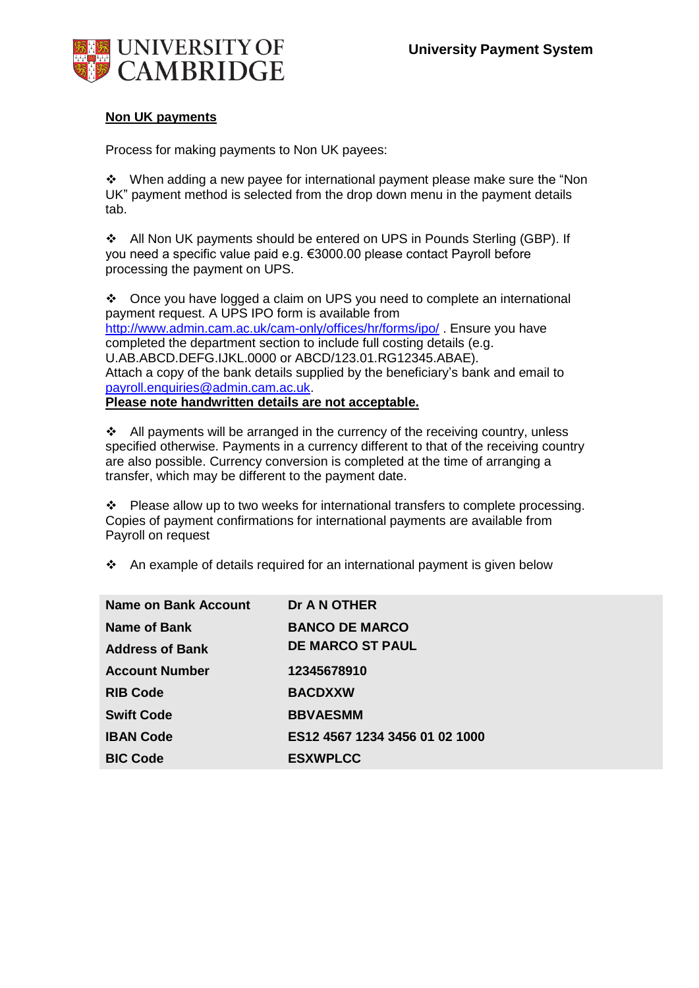

## **Non UK payments**

Process for making payments to Non UK payees:

 $\cdot \cdot$  When adding a new payee for international payment please make sure the "Non UK" payment method is selected from the drop down menu in the payment details tab.

All Non UK payments should be entered on UPS in Pounds Sterling (GBP). If you need a specific value paid e.g. €3000.00 please contact Payroll before processing the payment on UPS.

Once you have logged a claim on UPS you need to complete an international payment request. A UPS IPO form is available from <http://www.admin.cam.ac.uk/cam-only/offices/hr/forms/ipo/> . Ensure you have completed the department section to include full costing details (e.g. U.AB.ABCD.DEFG.IJKL.0000 or ABCD/123.01.RG12345.ABAE). Attach a copy of the bank details supplied by the beneficiary's bank and email to [payroll.enquiries@admin.cam.ac.uk.](mailto:payroll.enquiries@admin.cam.ac.uk) **Please note handwritten details are not acceptable.**

All payments will be arranged in the currency of the receiving country, unless specified otherwise. Payments in a currency different to that of the receiving country are also possible. Currency conversion is completed at the time of arranging a transfer, which may be different to the payment date.

\* Please allow up to two weeks for international transfers to complete processing. Copies of payment confirmations for international payments are available from Payroll on request

An example of details required for an international payment is given below

| Name on Bank Account   | Dr A N OTHER                   |
|------------------------|--------------------------------|
| Name of Bank           | <b>BANCO DE MARCO</b>          |
| <b>Address of Bank</b> | <b>DE MARCO ST PAUL</b>        |
| <b>Account Number</b>  | 12345678910                    |
| <b>RIB Code</b>        | <b>BACDXXW</b>                 |
| <b>Swift Code</b>      | <b>BBVAESMM</b>                |
| <b>IBAN Code</b>       | ES12 4567 1234 3456 01 02 1000 |
| <b>BIC Code</b>        | <b>ESXWPLCC</b>                |